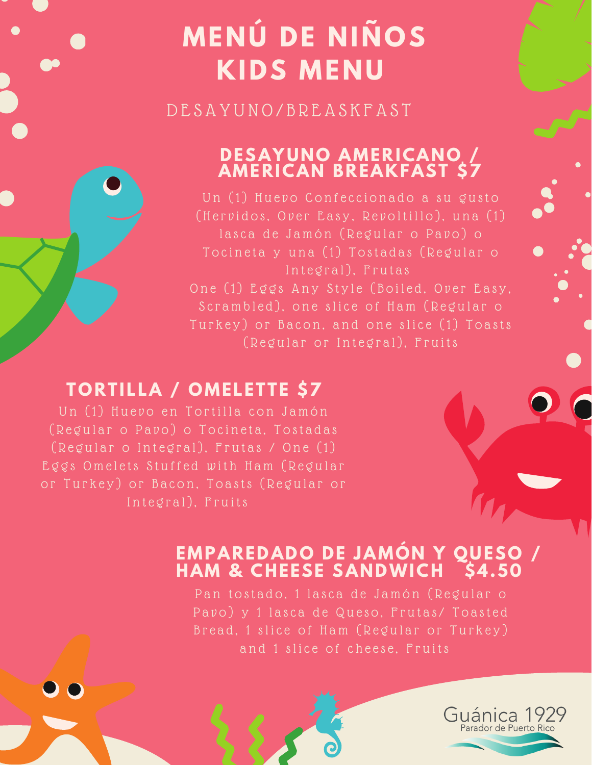# **MENÚ DE NIÑOS KIDS MENU**

D E S A Y U N O / B R E A S K F A S T

### **DESAYUNO AMERICANO / AMERICAN BREAKFAST \$7**

Un (1) Huevo Confeccionado a su gusto Tocineta y una (1) Tostadas (Regular o Integral), Frutas One (1) Eggs Any Style (Boiled, Over Easy, ( Regular or Integral). Fruits

## **TORTILLA / OMELETTE \$7**

Un (1) Huevo en Tortilla con Jamón ( Regular o Pavo) o Tocineta, Tostadas Eggs Omelets Stuffed with Ham (Regular or Turkey) or Bacon, Toasts (Regular or

## **EMPAREDADO DE JAMÓN Y QUESO / HAM & CHEESE SANDWICH \$4.50**

Pan tostado, 1 lasca de Jamón (Regular o and 1 slice of cheese, Fruits